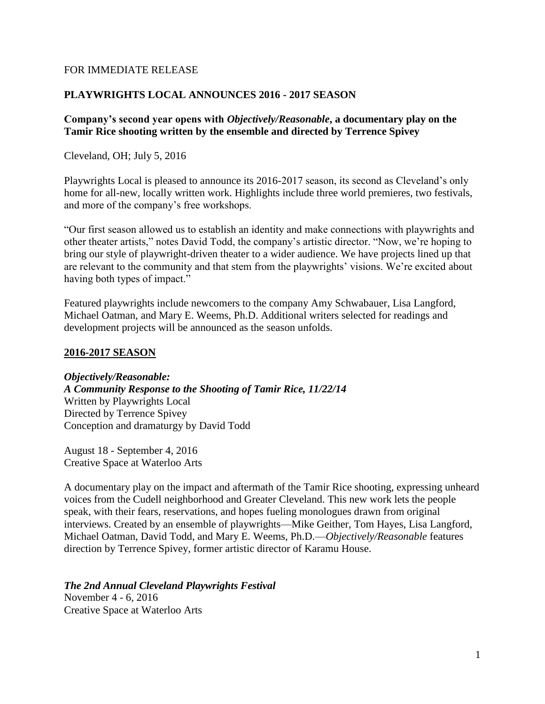#### FOR IMMEDIATE RELEASE

### **PLAYWRIGHTS LOCAL ANNOUNCES 2016 - 2017 SEASON**

### **Company's second year opens with** *Objectively/Reasonable***, a documentary play on the Tamir Rice shooting written by the ensemble and directed by Terrence Spivey**

Cleveland, OH; July 5, 2016

Playwrights Local is pleased to announce its 2016-2017 season, its second as Cleveland's only home for all-new, locally written work. Highlights include three world premieres, two festivals, and more of the company's free workshops.

"Our first season allowed us to establish an identity and make connections with playwrights and other theater artists," notes David Todd, the company's artistic director. "Now, we're hoping to bring our style of playwright-driven theater to a wider audience. We have projects lined up that are relevant to the community and that stem from the playwrights' visions. We're excited about having both types of impact."

Featured playwrights include newcomers to the company Amy Schwabauer, Lisa Langford, Michael Oatman, and Mary E. Weems, Ph.D. Additional writers selected for readings and development projects will be announced as the season unfolds.

#### **2016-2017 SEASON**

*Objectively/Reasonable:*

*A Community Response to the Shooting of Tamir Rice, 11/22/14* Written by Playwrights Local Directed by Terrence Spivey Conception and dramaturgy by David Todd

August 18 - September 4, 2016 Creative Space at Waterloo Arts

A documentary play on the impact and aftermath of the Tamir Rice shooting, expressing unheard voices from the Cudell neighborhood and Greater Cleveland. This new work lets the people speak, with their fears, reservations, and hopes fueling monologues drawn from original interviews. Created by an ensemble of playwrights—Mike Geither, Tom Hayes, Lisa Langford, Michael Oatman, David Todd, and Mary E. Weems, Ph.D.—*Objectively/Reasonable* features direction by Terrence Spivey, former artistic director of Karamu House.

## *The 2nd Annual Cleveland Playwrights Festival*

November 4 - 6, 2016 Creative Space at Waterloo Arts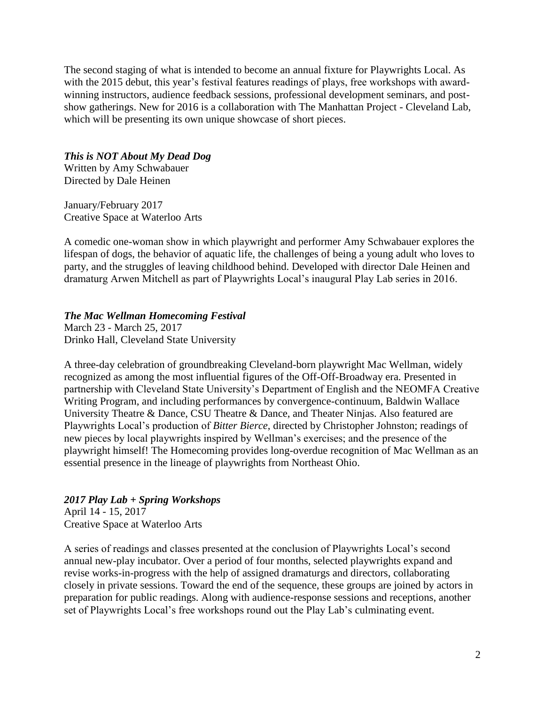The second staging of what is intended to become an annual fixture for Playwrights Local. As with the 2015 debut, this year's festival features readings of plays, free workshops with awardwinning instructors, audience feedback sessions, professional development seminars, and postshow gatherings. New for 2016 is a collaboration with The Manhattan Project - Cleveland Lab, which will be presenting its own unique showcase of short pieces.

## *This is NOT About My Dead Dog*

Written by Amy Schwabauer Directed by Dale Heinen

January/February 2017 Creative Space at Waterloo Arts

A comedic one-woman show in which playwright and performer Amy Schwabauer explores the lifespan of dogs, the behavior of aquatic life, the challenges of being a young adult who loves to party, and the struggles of leaving childhood behind. Developed with director Dale Heinen and dramaturg Arwen Mitchell as part of Playwrights Local's inaugural Play Lab series in 2016.

## *The Mac Wellman Homecoming Festival*

March 23 - March 25, 2017 Drinko Hall, Cleveland State University

A three-day celebration of groundbreaking Cleveland-born playwright Mac Wellman, widely recognized as among the most influential figures of the Off-Off-Broadway era. Presented in partnership with Cleveland State University's Department of English and the NEOMFA Creative Writing Program, and including performances by convergence-continuum, Baldwin Wallace University Theatre & Dance, CSU Theatre & Dance, and Theater Ninjas. Also featured are Playwrights Local's production of *Bitter Bierce*, directed by Christopher Johnston; readings of new pieces by local playwrights inspired by Wellman's exercises; and the presence of the playwright himself! The Homecoming provides long-overdue recognition of Mac Wellman as an essential presence in the lineage of playwrights from Northeast Ohio.

# *2017 Play Lab + Spring Workshops*

April 14 - 15, 2017 Creative Space at Waterloo Arts

A series of readings and classes presented at the conclusion of Playwrights Local's second annual new-play incubator. Over a period of four months, selected playwrights expand and revise works-in-progress with the help of assigned dramaturgs and directors, collaborating closely in private sessions. Toward the end of the sequence, these groups are joined by actors in preparation for public readings. Along with audience-response sessions and receptions, another set of Playwrights Local's free workshops round out the Play Lab's culminating event.